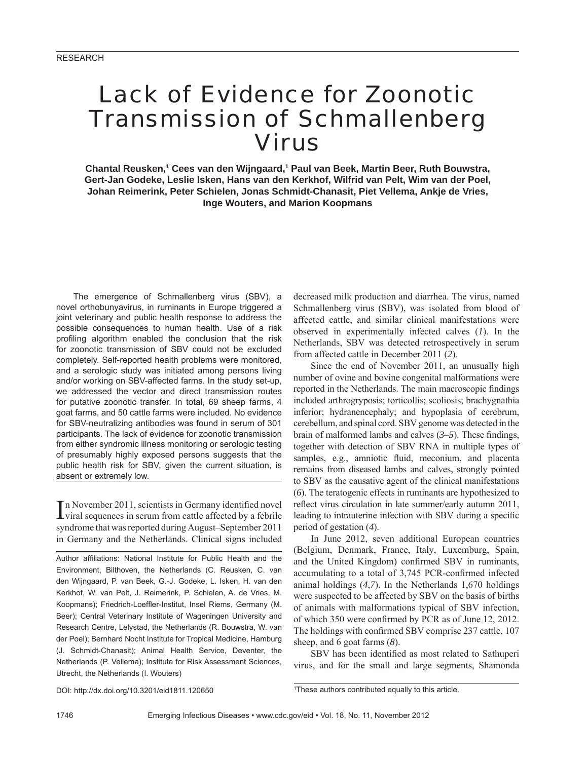# Lack of Evidence for Zoonotic Transmission of Schmallenberg Virus

Chantal Reusken,<sup>1</sup> Cees van den Wijngaard,<sup>1</sup> Paul van Beek, Martin Beer, Ruth Bouwstra, **Gert-Jan Godeke, Leslie Isken, Hans van den Kerkhof, Wilfrid van Pelt, Wim van der Poel, Johan Reimerink, Peter Schielen, Jonas Schmidt-Chanasit, Piet Vellema, Ankje de Vries, Inge Wouters, and Marion Koopmans**

The emergence of Schmallenberg virus (SBV), a novel orthobunyavirus, in ruminants in Europe triggered a joint veterinary and public health response to address the possible consequences to human health. Use of a risk profiling algorithm enabled the conclusion that the risk for zoonotic transmission of SBV could not be excluded completely. Self-reported health problems were monitored, and a serologic study was initiated among persons living and/or working on SBV-affected farms. In the study set-up, we addressed the vector and direct transmission routes for putative zoonotic transfer. In total, 69 sheep farms, 4 goat farms, and 50 cattle farms were included. No evidence for SBV-neutralizing antibodies was found in serum of 301 participants. The lack of evidence for zoonotic transmission from either syndromic illness monitoring or serologic testing of presumably highly exposed persons suggests that the public health risk for SBV, given the current situation, is absent or extremely low.

In November 2011, scientists in Germany identified novel<br>I viral sequences in serum from cattle affected by a febrile  $\mathbb T$ n November 2011, scientists in Germany identified novel syndrome that was reported during August–September 2011 in Germany and the Netherlands. Clinical signs included

Author affiliations: National Institute for Public Health and the Environment, Bilthoven, the Netherlands (C. Reusken, C. van den Wijngaard, P. van Beek, G.-J. Godeke, L. Isken, H. van den Kerkhof, W. van Pelt, J. Reimerink, P. Schielen, A. de Vries, M. Koopmans); Friedrich-Loeffler-Institut, Insel Riems, Germany (M. Beer); Central Veterinary Institute of Wageningen University and Research Centre, Lelystad, the Netherlands (R. Bouwstra, W. van der Poel); Bernhard Nocht Institute for Tropical Medicine, Hamburg (J. Schmidt-Chanasit); Animal Health Service, Deventer, the Netherlands (P. Vellema); Institute for Risk Assessment Sciences, Utrecht, the Netherlands (I. Wouters)

decreased milk production and diarrhea. The virus, named Schmallenberg virus (SBV), was isolated from blood of affected cattle, and similar clinical manifestations were observed in experimentally infected calves (*1*). In the Netherlands, SBV was detected retrospectively in serum from affected cattle in December 2011 (*2*).

Since the end of November 2011, an unusually high number of ovine and bovine congenital malformations were reported in the Netherlands. The main macroscopic findings included arthrogryposis; torticollis; scoliosis; brachygnathia inferior; hydranencephaly; and hypoplasia of cerebrum, cerebellum, and spinal cord. SBV genome was detected in the brain of malformed lambs and calves  $(3-5)$ . These findings, together with detection of SBV RNA in multiple types of samples, e.g., amniotic fluid, meconium, and placenta remains from diseased lambs and calves, strongly pointed to SBV as the causative agent of the clinical manifestations (*6*). The teratogenic effects in ruminants are hypothesized to reflect virus circulation in late summer/early autumn 2011, leading to intrauterine infection with SBV during a specific period of gestation (*4*).

In June 2012, seven additional European countries (Belgium, Denmark, France, Italy, Luxemburg, Spain, and the United Kingdom) confirmed SBV in ruminants, accumulating to a total of 3,745 PCR-confirmed infected animal holdings (*4*,*7*). In the Netherlands 1,670 holdings were suspected to be affected by SBV on the basis of births of animals with malformations typical of SBV infection, of which 350 were confirmed by PCR as of June 12, 2012. The holdings with confirmed SBV comprise 237 cattle, 107 sheep, and 6 goat farms (*8*).

SBV has been identified as most related to Sathuperi virus, and for the small and large segments, Shamonda

DOI: http://dx.doi.org/10.3201/eid1811.120650

1 These authors contributed equally to this article.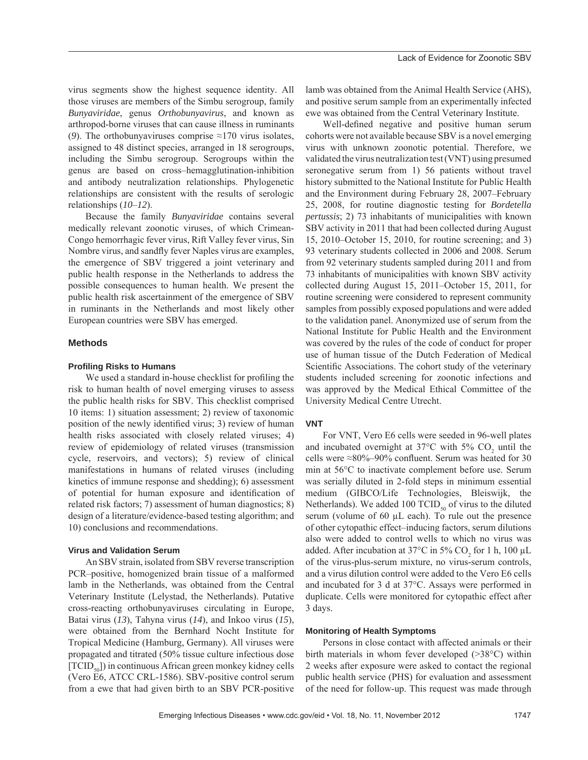virus segments show the highest sequence identity. All those viruses are members of the Simbu serogroup, family *Bunyaviridae*, genus *Orthobunyavirus*, and known as arthropod-borne viruses that can cause illness in ruminants (9). The orthobunyaviruses comprise  $\approx$ 170 virus isolates, assigned to 48 distinct species, arranged in 18 serogroups, including the Simbu serogroup. Serogroups within the genus are based on cross–hemagglutination-inhibition and antibody neutralization relationships. Phylogenetic relationships are consistent with the results of serologic relationships (*10*–*12*).

Because the family *Bunyaviridae* contains several medically relevant zoonotic viruses, of which Crimean-Congo hemorrhagic fever virus, Rift Valley fever virus, Sin Nombre virus, and sandfly fever Naples virus are examples, the emergence of SBV triggered a joint veterinary and public health response in the Netherlands to address the possible consequences to human health. We present the public health risk ascertainment of the emergence of SBV in ruminants in the Netherlands and most likely other European countries were SBV has emerged.

# **Methods**

#### **Profi ling Risks to Humans**

We used a standard in-house checklist for profiling the risk to human health of novel emerging viruses to assess the public health risks for SBV. This checklist comprised 10 items: 1) situation assessment; 2) review of taxonomic position of the newly identified virus; 3) review of human health risks associated with closely related viruses; 4) review of epidemiology of related viruses (transmission cycle, reservoirs, and vectors); 5) review of clinical manifestations in humans of related viruses (including kinetics of immune response and shedding); 6) assessment of potential for human exposure and identification of related risk factors; 7) assessment of human diagnostics; 8) design of a literature/evidence-based testing algorithm; and 10) conclusions and recommendations.

# **Virus and Validation Serum**

An SBV strain, isolated from SBV reverse transcription PCR–positive, homogenized brain tissue of a malformed lamb in the Netherlands, was obtained from the Central Veterinary Institute (Lelystad, the Netherlands). Putative cross-reacting orthobunyaviruses circulating in Europe, Batai virus (*13*), Tahyna virus (*14*), and Inkoo virus (*15*), were obtained from the Bernhard Nocht Institute for Tropical Medicine (Hamburg, Germany). All viruses were propagated and titrated (50% tissue culture infectious dose [TCID<sub>50</sub>]) in continuous African green monkey kidney cells (Vero E6, ATCC CRL-1586). SBV-positive control serum from a ewe that had given birth to an SBV PCR-positive

lamb was obtained from the Animal Health Service (AHS), and positive serum sample from an experimentally infected ewe was obtained from the Central Veterinary Institute.

Well-defined negative and positive human serum cohorts were not available because SBV is a novel emerging virus with unknown zoonotic potential. Therefore, we validated the virus neutralization test (VNT) using presumed seronegative serum from 1) 56 patients without travel history submitted to the National Institute for Public Health and the Environment during February 28, 2007–February 25, 2008, for routine diagnostic testing for *Bordetella pertussis*; 2) 73 inhabitants of municipalities with known SBV activity in 2011 that had been collected during August 15, 2010–October 15, 2010, for routine screening; and 3) 93 veterinary students collected in 2006 and 2008. Serum from 92 veterinary students sampled during 2011 and from 73 inhabitants of municipalities with known SBV activity collected during August 15, 2011–October 15, 2011, for routine screening were considered to represent community samples from possibly exposed populations and were added to the validation panel. Anonymized use of serum from the National Institute for Public Health and the Environment was covered by the rules of the code of conduct for proper use of human tissue of the Dutch Federation of Medical Scientific Associations. The cohort study of the veterinary students included screening for zoonotic infections and was approved by the Medical Ethical Committee of the University Medical Centre Utrecht.

#### **VNT**

For VNT, Vero E6 cells were seeded in 96-well plates and incubated overnight at  $37^{\circ}$ C with  $5\%$  CO<sub>2</sub> until the cells were ≈80%–90% confluent. Serum was heated for 30 min at 56°C to inactivate complement before use. Serum was serially diluted in 2-fold steps in minimum essential medium (GIBCO/Life Technologies, Bleiswijk, the Netherlands). We added 100  $\text{TCID}_{50}$  of virus to the diluted serum (volume of 60 μL each). To rule out the presence of other cytopathic effect–inducing factors, serum dilutions also were added to control wells to which no virus was added. After incubation at 37°C in 5%  $CO_2$  for 1 h, 100  $\mu$ L of the virus-plus-serum mixture, no virus-serum controls, and a virus dilution control were added to the Vero E6 cells and incubated for 3 d at 37°C. Assays were performed in duplicate. Cells were monitored for cytopathic effect after 3 days.

#### **Monitoring of Health Symptoms**

Persons in close contact with affected animals or their birth materials in whom fever developed (>38°C) within 2 weeks after exposure were asked to contact the regional public health service (PHS) for evaluation and assessment of the need for follow-up. This request was made through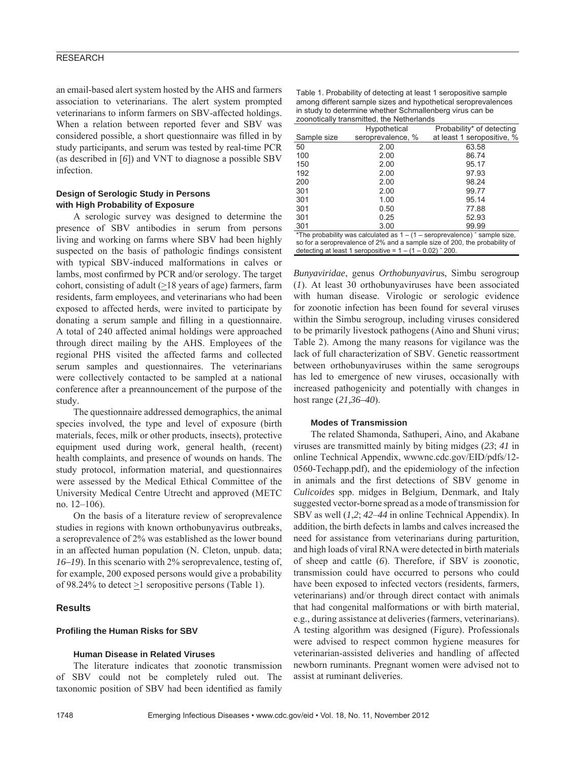an email-based alert system hosted by the AHS and farmers association to veterinarians. The alert system prompted veterinarians to inform farmers on SBV-affected holdings. When a relation between reported fever and SBV was considered possible, a short questionnaire was filled in by study participants, and serum was tested by real-time PCR (as described in [*6*]) and VNT to diagnose a possible SBV infection.

# **Design of Serologic Study in Persons with High Probability of Exposure**

A serologic survey was designed to determine the presence of SBV antibodies in serum from persons living and working on farms where SBV had been highly suspected on the basis of pathologic findings consistent with typical SBV-induced malformations in calves or lambs, most confirmed by PCR and/or serology. The target cohort, consisting of adult  $(\geq 18$  years of age) farmers, farm residents, farm employees, and veterinarians who had been exposed to affected herds, were invited to participate by donating a serum sample and filling in a questionnaire. A total of 240 affected animal holdings were approached through direct mailing by the AHS. Employees of the regional PHS visited the affected farms and collected serum samples and questionnaires. The veterinarians were collectively contacted to be sampled at a national conference after a preannouncement of the purpose of the study.

The questionnaire addressed demographics, the animal species involved, the type and level of exposure (birth materials, feces, milk or other products, insects), protective equipment used during work, general health, (recent) health complaints, and presence of wounds on hands. The study protocol, information material, and questionnaires were assessed by the Medical Ethical Committee of the University Medical Centre Utrecht and approved (METC no. 12–106).

On the basis of a literature review of seroprevalence studies in regions with known orthobunyavirus outbreaks, a seroprevalence of 2% was established as the lower bound in an affected human population (N. Cleton, unpub. data; *16–19*). In this scenario with 2% seroprevalence, testing of, for example, 200 exposed persons would give a probability of 98.24% to detect >1 seropositive persons (Table 1).

#### **Results**

#### **Profiling the Human Risks for SBV**

# **Human Disease in Related Viruses**

The literature indicates that zoonotic transmission of SBV could not be completely ruled out. The taxonomic position of SBV had been identified as family

| Table 1. Probability of detecting at least 1 seropositive sample |
|------------------------------------------------------------------|
| among different sample sizes and hypothetical seroprevalences    |
| in study to determine whether Schmallenberg virus can be         |
| zoonotically transmitted, the Netherlands                        |

|                                                                                      | Lourium in arioningua, and incardinarias |                            |  |  |  |  |
|--------------------------------------------------------------------------------------|------------------------------------------|----------------------------|--|--|--|--|
|                                                                                      | Hypothetical                             | Probability* of detecting  |  |  |  |  |
| Sample size                                                                          | seroprevalence. %                        | at least 1 seropositive, % |  |  |  |  |
| 50                                                                                   | 2.00                                     | 63.58                      |  |  |  |  |
| 100                                                                                  | 2.00                                     | 86.74                      |  |  |  |  |
| 150                                                                                  | 2.00                                     | 95.17                      |  |  |  |  |
| 192                                                                                  | 2.00                                     | 97.93                      |  |  |  |  |
| 200                                                                                  | 2.00                                     | 98.24                      |  |  |  |  |
| 301                                                                                  | 2.00                                     | 99.77                      |  |  |  |  |
| 301                                                                                  | 1.00                                     | 95.14                      |  |  |  |  |
| 301                                                                                  | 0.50                                     | 77.88                      |  |  |  |  |
| 301                                                                                  | 0.25                                     | 52.93                      |  |  |  |  |
| 301                                                                                  | 3.00                                     | 99.99                      |  |  |  |  |
| *The probability was calculated as $1 - (1 -$ seroprevalence) $\hat{ }$ sample size, |                                          |                            |  |  |  |  |
| so for a seroprevalence of 2% and a sample size of 200, the probability of           |                                          |                            |  |  |  |  |
| detecting at least 1 seropositive = $1 - (1 - 0.02)$ $\degree$ 200.                  |                                          |                            |  |  |  |  |

*Bunyaviridae*, genus *Orthobunyaviru*s, Simbu serogroup (*1*). At least 30 orthobunyaviruses have been associated with human disease. Virologic or serologic evidence for zoonotic infection has been found for several viruses within the Simbu serogroup, including viruses considered to be primarily livestock pathogens (Aino and Shuni virus; Table 2). Among the many reasons for vigilance was the lack of full characterization of SBV. Genetic reassortment between orthobunyaviruses within the same serogroups has led to emergence of new viruses, occasionally with increased pathogenicity and potentially with changes in host range (*21,36–40*).

#### **Modes of Transmission**

The related Shamonda, Sathuperi, Aino, and Akabane viruses are transmitted mainly by biting midges (*23*; *41* in online Technical Appendix, wwwnc.cdc.gov/EID/pdfs/12- 0560-Techapp.pdf), and the epidemiology of the infection in animals and the first detections of SBV genome in *Culicoides* spp. midges in Belgium, Denmark, and Italy suggested vector-borne spread as a mode of transmission for SBV as well (*1*,*2*; *42*–*44* in online Technical Appendix). In addition, the birth defects in lambs and calves increased the need for assistance from veterinarians during parturition, and high loads of viral RNA were detected in birth materials of sheep and cattle (*6*). Therefore, if SBV is zoonotic, transmission could have occurred to persons who could have been exposed to infected vectors (residents, farmers, veterinarians) and/or through direct contact with animals that had congenital malformations or with birth material, e.g., during assistance at deliveries (farmers, veterinarians). A testing algorithm was designed (Figure). Professionals were advised to respect common hygiene measures for veterinarian-assisted deliveries and handling of affected newborn ruminants. Pregnant women were advised not to assist at ruminant deliveries.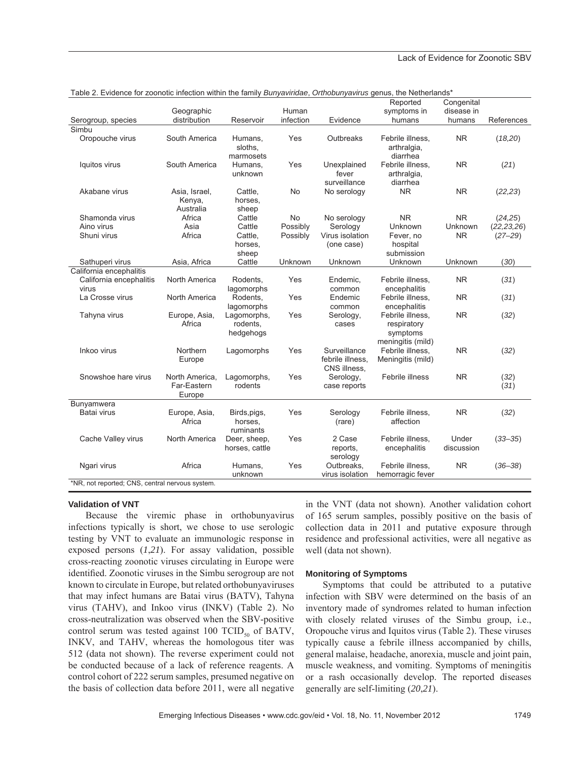| rable 2. Evidence for 2001fouc infection within the laminy <i>Burlyavindae</i> , O <i>rthoburlyavirus</i> genus, the Nethenands |                |                |           |                  |                   |                |              |
|---------------------------------------------------------------------------------------------------------------------------------|----------------|----------------|-----------|------------------|-------------------|----------------|--------------|
|                                                                                                                                 |                |                |           |                  | Reported          | Congenital     |              |
|                                                                                                                                 | Geographic     |                | Human     |                  | symptoms in       | disease in     |              |
| Serogroup, species                                                                                                              | distribution   | Reservoir      | infection | Evidence         | humans            | humans         | References   |
| Simbu                                                                                                                           |                |                |           |                  |                   |                |              |
| Oropouche virus                                                                                                                 | South America  | Humans,        | Yes       | Outbreaks        | Febrile illness.  | <b>NR</b>      | (18,20)      |
|                                                                                                                                 |                | sloths,        |           |                  | arthralgia,       |                |              |
|                                                                                                                                 |                | marmosets      |           |                  | diarrhea          |                |              |
|                                                                                                                                 | South America  |                | Yes       | Unexplained      | Febrile illness,  | <b>NR</b>      |              |
| Iquitos virus                                                                                                                   |                | Humans.        |           |                  |                   |                | (21)         |
|                                                                                                                                 |                | unknown        |           | fever            | arthralgia,       |                |              |
|                                                                                                                                 |                |                |           | surveillance     | diarrhea          |                |              |
| Akabane virus                                                                                                                   | Asia, Israel,  | Cattle,        | No        | No serology      | <b>NR</b>         | <b>NR</b>      | (22, 23)     |
|                                                                                                                                 | Kenya,         | horses,        |           |                  |                   |                |              |
|                                                                                                                                 | Australia      | sheep          |           |                  |                   |                |              |
| Shamonda virus                                                                                                                  | Africa         | Cattle         | <b>No</b> | No serology      | <b>NR</b>         | N <sub>R</sub> | (24,25)      |
| Aino virus                                                                                                                      | Asia           | Cattle         | Possibly  | Serology         | Unknown           | Unknown        | (22, 23, 26) |
| Shuni virus                                                                                                                     | Africa         | Cattle,        | Possibly  | Virus isolation  | Fever, no         | <b>NR</b>      | $(27 - 29)$  |
|                                                                                                                                 |                | horses,        |           | (one case)       | hospital          |                |              |
|                                                                                                                                 |                | sheep          |           |                  | submission        |                |              |
| Sathuperi virus                                                                                                                 | Asia, Africa   | Cattle         | Unknown   | Unknown          | Unknown           | Unknown        | (30)         |
| California encephalitis                                                                                                         |                |                |           |                  |                   |                |              |
| California encephalitis                                                                                                         | North America  | Rodents,       | Yes       | Endemic,         | Febrile illness,  | <b>NR</b>      | (31)         |
| virus                                                                                                                           |                | lagomorphs     |           | common           | encephalitis      |                |              |
| La Crosse virus                                                                                                                 | North America  | Rodents.       | Yes       | Endemic          | Febrile illness.  | <b>NR</b>      | (31)         |
|                                                                                                                                 |                | lagomorphs     |           | common           | encephalitis      |                |              |
| Tahyna virus                                                                                                                    | Europe, Asia,  | Lagomorphs,    | Yes       | Serology,        | Febrile illness,  | <b>NR</b>      | (32)         |
|                                                                                                                                 | Africa         | rodents.       |           | cases            | respiratory       |                |              |
|                                                                                                                                 |                |                |           |                  |                   |                |              |
|                                                                                                                                 |                | hedgehogs      |           |                  | symptoms          |                |              |
|                                                                                                                                 |                |                |           |                  | meningitis (mild) |                |              |
| Inkoo virus                                                                                                                     | Northern       | Lagomorphs     | Yes       | Surveillance     | Febrile illness.  | <b>NR</b>      | (32)         |
|                                                                                                                                 | Europe         |                |           | febrile illness, | Meningitis (mild) |                |              |
|                                                                                                                                 |                |                |           | CNS illness,     |                   |                |              |
| Snowshoe hare virus                                                                                                             | North America. | Lagomorphs,    | Yes       | Serology,        | Febrile illness   | <b>NR</b>      | (32)         |
|                                                                                                                                 | Far-Eastern    | rodents        |           | case reports     |                   |                | (31)         |
|                                                                                                                                 | Europe         |                |           |                  |                   |                |              |
| Bunyamwera                                                                                                                      |                |                |           |                  |                   |                |              |
| Batai virus                                                                                                                     | Europe, Asia,  | Birds, pigs,   | Yes       | Serology         | Febrile illness,  | <b>NR</b>      | (32)         |
|                                                                                                                                 | Africa         | horses.        |           | (rare)           | affection         |                |              |
|                                                                                                                                 |                | ruminants      |           |                  |                   |                |              |
| Cache Valley virus                                                                                                              | North America  | Deer, sheep,   | Yes       | 2 Case           | Febrile illness,  | Under          | $(33 - 35)$  |
|                                                                                                                                 |                | horses, cattle |           | reports,         | encephalitis      | discussion     |              |
|                                                                                                                                 |                |                |           | serology         |                   |                |              |
| Ngari virus                                                                                                                     | Africa         | Humans,        | Yes       | Outbreaks,       | Febrile illness.  | <b>NR</b>      | $(36 - 38)$  |
|                                                                                                                                 |                | unknown        |           | virus isolation  | hemorragic fever  |                |              |
| *NR, not reported; CNS, central nervous system.                                                                                 |                |                |           |                  |                   |                |              |

# Table 2. Evidence for zoonotic infection within the family *Bunyaviridae*, *Orthobunyavirus* genus, the Netherlands\*

**Validation of VNT**

Because the viremic phase in orthobunyavirus infections typically is short, we chose to use serologic testing by VNT to evaluate an immunologic response in exposed persons (*1*,*21*). For assay validation, possible cross-reacting zoonotic viruses circulating in Europe were identified. Zoonotic viruses in the Simbu serogroup are not known to circulate in Europe, but related orthobunyaviruses that may infect humans are Batai virus (BATV), Tahyna virus (TAHV), and Inkoo virus (INKV) (Table 2). No cross-neutralization was observed when the SBV-positive control serum was tested against 100 TCID<sub>50</sub> of BATV, INKV, and TAHV, whereas the homologous titer was 512 (data not shown). The reverse experiment could not be conducted because of a lack of reference reagents. A control cohort of 222 serum samples, presumed negative on the basis of collection data before 2011, were all negative

in the VNT (data not shown). Another validation cohort of 165 serum samples, possibly positive on the basis of collection data in 2011 and putative exposure through residence and professional activities, were all negative as well (data not shown).

#### **Monitoring of Symptoms**

Symptoms that could be attributed to a putative infection with SBV were determined on the basis of an inventory made of syndromes related to human infection with closely related viruses of the Simbu group, i.e., Oropouche virus and Iquitos virus (Table 2). These viruses typically cause a febrile illness accompanied by chills, general malaise, headache, anorexia, muscle and joint pain, muscle weakness, and vomiting. Symptoms of meningitis or a rash occasionally develop. The reported diseases generally are self-limiting (*20*,*21*).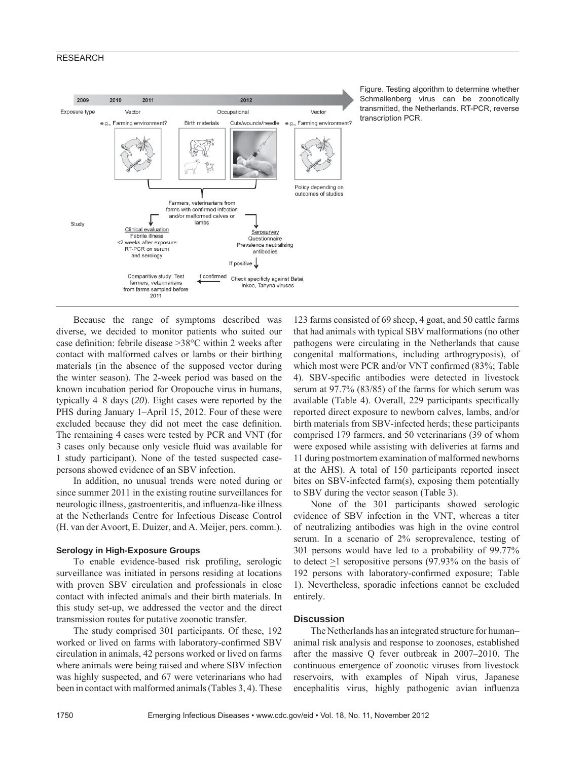# **RESEARCH**



Figure. Testing algorithm to determine whether Schmallenberg virus can be zoonotically transmitted, the Netherlands. RT-PCR, reverse transcription PCR.

Because the range of symptoms described was diverse, we decided to monitor patients who suited our case definition: febrile disease  $>38^{\circ}$ C within 2 weeks after contact with malformed calves or lambs or their birthing materials (in the absence of the supposed vector during the winter season). The 2-week period was based on the known incubation period for Oropouche virus in humans, typically 4–8 days (*20*). Eight cases were reported by the PHS during January 1–April 15, 2012. Four of these were excluded because they did not meet the case definition. The remaining 4 cases were tested by PCR and VNT (for 3 cases only because only vesicle fluid was available for 1 study participant). None of the tested suspected casepersons showed evidence of an SBV infection.

In addition, no unusual trends were noted during or since summer 2011 in the existing routine surveillances for neurologic illness, gastroenteritis, and influenza-like illness at the Netherlands Centre for Infectious Disease Control (H. van der Avoort, E. Duizer, and A. Meijer, pers. comm.).

## **Serology in High-Exposure Groups**

To enable evidence-based risk profiling, serologic surveillance was initiated in persons residing at locations with proven SBV circulation and professionals in close contact with infected animals and their birth materials. In this study set-up, we addressed the vector and the direct transmission routes for putative zoonotic transfer.

The study comprised 301 participants. Of these, 192 worked or lived on farms with laboratory-confirmed SBV circulation in animals, 42 persons worked or lived on farms where animals were being raised and where SBV infection was highly suspected, and 67 were veterinarians who had been in contact with malformed animals (Tables 3, 4). These

123 farms consisted of 69 sheep, 4 goat, and 50 cattle farms that had animals with typical SBV malformations (no other pathogens were circulating in the Netherlands that cause congenital malformations, including arthrogryposis), of which most were PCR and/or VNT confirmed (83%; Table 4). SBV-specific antibodies were detected in livestock serum at 97.7% (83/85) of the farms for which serum was available (Table 4). Overall, 229 participants specifically reported direct exposure to newborn calves, lambs, and/or birth materials from SBV-infected herds; these participants comprised 179 farmers, and 50 veterinarians (39 of whom were exposed while assisting with deliveries at farms and 11 during postmortem examination of malformed newborns at the AHS). A total of 150 participants reported insect bites on SBV-infected farm(s), exposing them potentially to SBV during the vector season (Table 3).

None of the 301 participants showed serologic evidence of SBV infection in the VNT, whereas a titer of neutralizing antibodies was high in the ovine control serum. In a scenario of 2% seroprevalence, testing of 301 persons would have led to a probability of 99.77% to detect  $>1$  seropositive persons (97.93% on the basis of 192 persons with laboratory-confirmed exposure; Table 1). Nevertheless, sporadic infections cannot be excluded entirely.

# **Discussion**

The Netherlands has an integrated structure for human– animal risk analysis and response to zoonoses, established after the massive Q fever outbreak in 2007–2010. The continuous emergence of zoonotic viruses from livestock reservoirs, with examples of Nipah virus, Japanese encephalitis virus, highly pathogenic avian influenza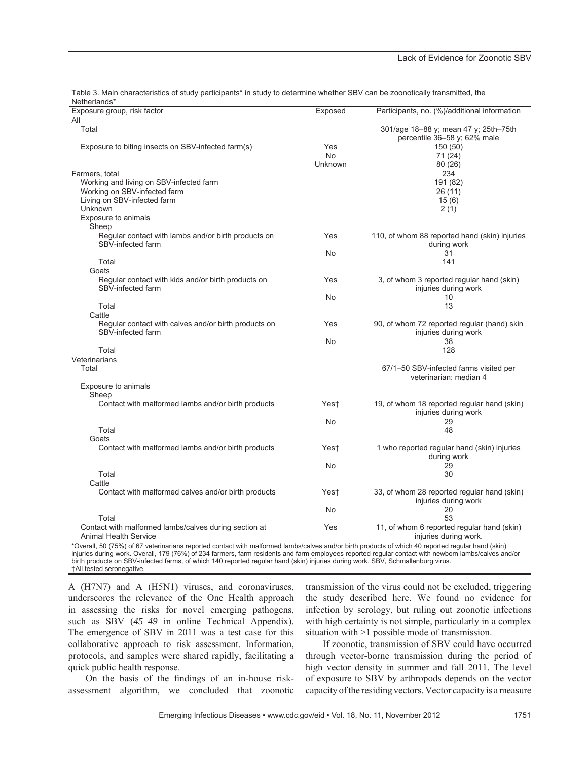| <b>NetHellanus</b>                                                       |           |                                                                       |
|--------------------------------------------------------------------------|-----------|-----------------------------------------------------------------------|
| Exposure group, risk factor                                              | Exposed   | Participants, no. (%)/additional information                          |
| All                                                                      |           |                                                                       |
| Total                                                                    |           | 301/age 18-88 y; mean 47 y; 25th-75th<br>percentile 36-58 y; 62% male |
| Exposure to biting insects on SBV-infected farm(s)                       | Yes       | 150 (50)                                                              |
|                                                                          | <b>No</b> | 71 (24)                                                               |
|                                                                          | Unknown   | 80 (26)                                                               |
| Farmers, total                                                           |           | 234                                                                   |
| Working and living on SBV-infected farm                                  |           | 191 (82)                                                              |
| Working on SBV-infected farm                                             |           | 26(11)                                                                |
| Living on SBV-infected farm                                              |           | 15(6)                                                                 |
| Unknown                                                                  |           | 2(1)                                                                  |
| Exposure to animals                                                      |           |                                                                       |
| Sheep                                                                    |           |                                                                       |
|                                                                          |           |                                                                       |
| Regular contact with lambs and/or birth products on<br>SBV-infected farm | Yes       | 110, of whom 88 reported hand (skin) injuries<br>during work          |
|                                                                          | No        | 31                                                                    |
| Total                                                                    |           | 141                                                                   |
| Goats                                                                    |           |                                                                       |
| Regular contact with kids and/or birth products on<br>SBV-infected farm  | Yes       | 3, of whom 3 reported regular hand (skin)<br>injuries during work     |
|                                                                          |           |                                                                       |
|                                                                          | No        | 10                                                                    |
| Total                                                                    |           | 13                                                                    |
| Cattle                                                                   |           |                                                                       |
| Regular contact with calves and/or birth products on                     | Yes       | 90, of whom 72 reported regular (hand) skin                           |
| SBV-infected farm                                                        |           | injuries during work                                                  |
|                                                                          | No        | 38                                                                    |
| Total                                                                    |           | 128                                                                   |
| Veterinarians                                                            |           |                                                                       |
| Total                                                                    |           | 67/1–50 SBV-infected farms visited per                                |
|                                                                          |           | veterinarian; median 4                                                |
| Exposure to animals                                                      |           |                                                                       |
| Sheep                                                                    |           |                                                                       |
| Contact with malformed lambs and/or birth products                       | Yest      | 19, of whom 18 reported regular hand (skin)                           |
|                                                                          |           | injuries during work                                                  |
|                                                                          | No        | 29                                                                    |
| Total                                                                    |           | 48                                                                    |
| Goats                                                                    |           |                                                                       |
| Contact with malformed lambs and/or birth products                       | Yest      | 1 who reported regular hand (skin) injuries<br>during work            |
|                                                                          | No        | 29                                                                    |
|                                                                          |           |                                                                       |
| Total                                                                    |           | 30                                                                    |
| Cattle                                                                   |           |                                                                       |
| Contact with malformed calves and/or birth products                      | Yest      | 33, of whom 28 reported regular hand (skin)<br>injuries during work   |
|                                                                          | No        | 20                                                                    |
| Total                                                                    |           | 53                                                                    |
| Contact with malformed lambs/calves during section at                    | Yes       | 11, of whom 6 reported regular hand (skin)                            |
| <b>Animal Health Service</b>                                             |           | injuries during work.                                                 |

Table 3. Main characteristics of study participants\* in study to determine whether SBV can be zoonotically transmitted, the Netherlands\*

\*Overall, 50 (75%) of 67 veterinarians reported contact with malformed lambs/calves and/or birth products of which 40 reported regular hand (skin) injuries during work. Overall, 179 (76%) of 234 farmers, farm residents and farm employees reported regular contact with newborn lambs/calves and/or birth products on SBV-infected farms, of which 140 reported regular hand (skin) injuries during work. SBV, Schmallenburg virus. †All tested seronegative.

A (H7N7) and A (H5N1) viruses, and coronaviruses, underscores the relevance of the One Health approach in assessing the risks for novel emerging pathogens, such as SBV (*45*–*49* in online Technical Appendix). The emergence of SBV in 2011 was a test case for this collaborative approach to risk assessment. Information, protocols, and samples were shared rapidly, facilitating a quick public health response.

On the basis of the findings of an in-house riskassessment algorithm, we concluded that zoonotic transmission of the virus could not be excluded, triggering the study described here. We found no evidence for infection by serology, but ruling out zoonotic infections with high certainty is not simple, particularly in a complex situation with >1 possible mode of transmission.

If zoonotic, transmission of SBV could have occurred through vector-borne transmission during the period of high vector density in summer and fall 2011. The level of exposure to SBV by arthropods depends on the vector capacity of the residing vectors. Vector capacity is a measure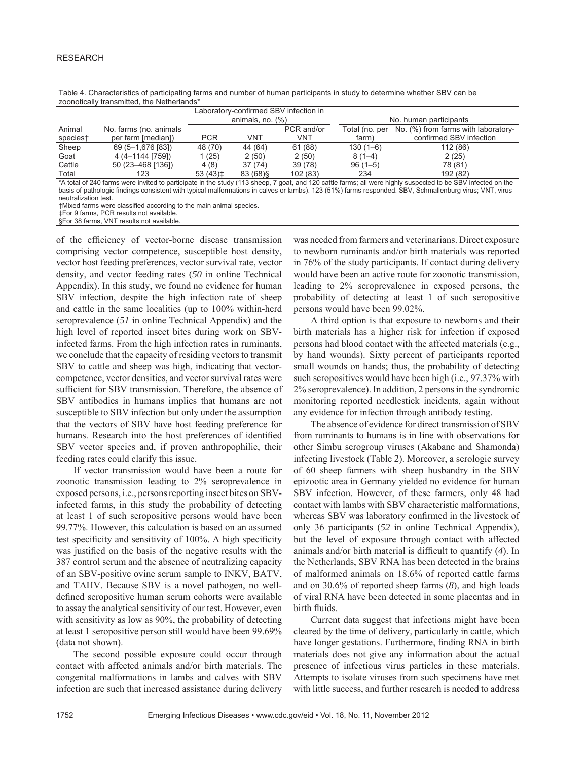# **RESEARCH**

| <u>ZUVIIVIIVAIIV II AITSITIILIEU. IITE TYEITIEITAITUS</u> |                        |                       |           |                                       |                        |                                     |  |
|-----------------------------------------------------------|------------------------|-----------------------|-----------|---------------------------------------|------------------------|-------------------------------------|--|
|                                                           |                        |                       |           | Laboratory-confirmed SBV infection in |                        |                                     |  |
|                                                           |                        | animals, no. $(\%)$   |           |                                       | No. human participants |                                     |  |
| Animal                                                    | No. farms (no. animals |                       |           | PCR and/or                            | Total (no. per         | No. (%) from farms with laboratory- |  |
| species†                                                  | per farm [median])     | <b>PCR</b>            | VNT       | VNT                                   | farm)                  | confirmed SBV infection             |  |
| Sheep                                                     | 69 (5-1,676 [83])      | 48 (70)               | 44 (64)   | 61 (88)                               | $130(1-6)$             | 112 (86)                            |  |
| Goat                                                      | 4 (4-1144 [759])       | 1 (25)                | 2(50)     | 2(50)                                 | $8(1-4)$               | 2(25)                               |  |
| Cattle                                                    | 50 (23–468 [136])      | 4(8)                  | 37(74)    | 39 (78)                               | $96(1-5)$              | 78 (81)                             |  |
| Total                                                     | 123                    | $53(43)$ <sup>±</sup> | 83 (68) § | 102 (83)                              | 234                    | 192 (82)                            |  |
|                                                           |                        |                       |           |                                       |                        |                                     |  |

Table 4. Characteristics of participating farms and number of human participants in study to determine whether SBV can be zoonotically transmitted, the Netherlands\*

\*A total of 240 farms were invited to participate in the study (113 sheep, 7 goat, and 120 cattle farms; all were highly suspected to be SBV infected on the basis of pathologic findings consistent with typical malformations in calves or lambs). 123 (51%) farms responded. SBV, Schmallenburg virus; VNT, virus neutralization test.

†Mixed farms were classified according to the main animal species.

‡For 9 farms, PCR results not available.

§For 38 farms, VNT results not available

of the efficiency of vector-borne disease transmission comprising vector competence, susceptible host density, vector host feeding preferences, vector survival rate, vector density, and vector feeding rates (*50* in online Technical Appendix). In this study, we found no evidence for human SBV infection, despite the high infection rate of sheep and cattle in the same localities (up to 100% within-herd seroprevalence (*51* in online Technical Appendix) and the high level of reported insect bites during work on SBVinfected farms. From the high infection rates in ruminants, we conclude that the capacity of residing vectors to transmit SBV to cattle and sheep was high, indicating that vectorcompetence, vector densities, and vector survival rates were sufficient for SBV transmission. Therefore, the absence of SBV antibodies in humans implies that humans are not susceptible to SBV infection but only under the assumption that the vectors of SBV have host feeding preference for humans. Research into the host preferences of identified SBV vector species and, if proven anthropophilic, their feeding rates could clarify this issue.

If vector transmission would have been a route for zoonotic transmission leading to 2% seroprevalence in exposed persons, i.e., persons reporting insect bites on SBVinfected farms, in this study the probability of detecting at least 1 of such seropositive persons would have been 99.77%. However, this calculation is based on an assumed test specificity and sensitivity of 100%. A high specificity was justified on the basis of the negative results with the 387 control serum and the absence of neutralizing capacity of an SBV-positive ovine serum sample to INKV, BATV, and TAHV. Because SBV is a novel pathogen, no welldefined seropositive human serum cohorts were available to assay the analytical sensitivity of our test. However, even with sensitivity as low as 90%, the probability of detecting at least 1 seropositive person still would have been 99.69% (data not shown).

The second possible exposure could occur through contact with affected animals and/or birth materials. The congenital malformations in lambs and calves with SBV infection are such that increased assistance during delivery was needed from farmers and veterinarians. Direct exposure to newborn ruminants and/or birth materials was reported in 76% of the study participants. If contact during delivery would have been an active route for zoonotic transmission, leading to 2% seroprevalence in exposed persons, the probability of detecting at least 1 of such seropositive persons would have been 99.02%.

A third option is that exposure to newborns and their birth materials has a higher risk for infection if exposed persons had blood contact with the affected materials (e.g., by hand wounds). Sixty percent of participants reported small wounds on hands; thus, the probability of detecting such seropositives would have been high (i.e., 97.37% with 2% seroprevalence). In addition, 2 persons in the syndromic monitoring reported needlestick incidents, again without any evidence for infection through antibody testing.

The absence of evidence for direct transmission of SBV from ruminants to humans is in line with observations for other Simbu serogroup viruses (Akabane and Shamonda) infecting livestock (Table 2). Moreover, a serologic survey of 60 sheep farmers with sheep husbandry in the SBV epizootic area in Germany yielded no evidence for human SBV infection. However, of these farmers, only 48 had contact with lambs with SBV characteristic malformations, whereas SBV was laboratory confirmed in the livestock of only 36 participants (*52* in online Technical Appendix), but the level of exposure through contact with affected animals and/or birth material is difficult to quantify (4). In the Netherlands, SBV RNA has been detected in the brains of malformed animals on 18.6% of reported cattle farms and on 30.6% of reported sheep farms (*8*), and high loads of viral RNA have been detected in some placentas and in birth fluids.

Current data suggest that infections might have been cleared by the time of delivery, particularly in cattle, which have longer gestations. Furthermore, finding RNA in birth materials does not give any information about the actual presence of infectious virus particles in these materials. Attempts to isolate viruses from such specimens have met with little success, and further research is needed to address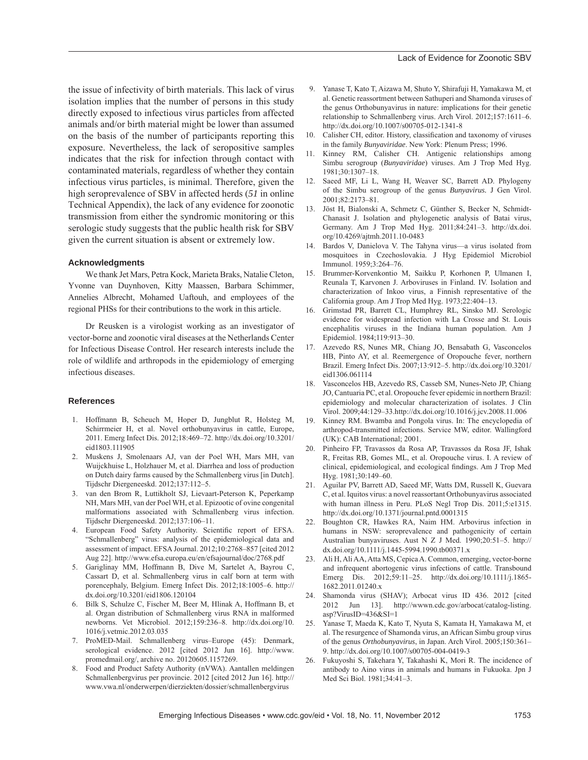the issue of infectivity of birth materials. This lack of virus isolation implies that the number of persons in this study directly exposed to infectious virus particles from affected animals and/or birth material might be lower than assumed on the basis of the number of participants reporting this exposure. Nevertheless, the lack of seropositive samples indicates that the risk for infection through contact with contaminated materials, regardless of whether they contain infectious virus particles, is minimal. Therefore, given the high seroprevalence of SBV in affected herds (*51* in online Technical Appendix), the lack of any evidence for zoonotic transmission from either the syndromic monitoring or this serologic study suggests that the public health risk for SBV given the current situation is absent or extremely low.

### **Acknowledgments**

We thank Jet Mars, Petra Kock, Marieta Braks, Natalie Cleton, Yvonne van Duynhoven, Kitty Maassen, Barbara Schimmer, Annelies Albrecht, Mohamed Uaftouh, and employees of the regional PHSs for their contributions to the work in this article.

Dr Reusken is a virologist working as an investigator of vector-borne and zoonotic viral diseases at the Netherlands Center for Infectious Disease Control. Her research interests include the role of wildlife and arthropods in the epidemiology of emerging infectious diseases.

### **References**

- 1. Hoffmann B, Scheuch M, Hoper D, Jungblut R, Holsteg M, Schirrmeier H, et al. Novel orthobunyavirus in cattle, Europe, 2011. Emerg Infect Dis. 2012;18:469–72. http://dx.doi.org/10.3201/ eid1803.111905
- 2. Muskens J, Smolenaars AJ, van der Poel WH, Mars MH, van Wuijckhuise L, Holzhauer M, et al. Diarrhea and loss of production on Dutch dairy farms caused by the Schmallenberg virus [in Dutch]. Tijdschr Diergeneeskd. 2012;137:112–5.
- 3. van den Brom R, Luttikholt SJ, Lievaart-Peterson K, Peperkamp NH, Mars MH, van der Poel WH, et al. Epizootic of ovine congenital malformations associated with Schmallenberg virus infection. Tijdschr Diergeneeskd. 2012;137:106–11.
- 4. European Food Safety Authority. Scientific report of EFSA. "Schmallenberg" virus: analysis of the epidemiological data and assessment of impact. EFSA Journal. 2012;10:2768–857 [cited 2012 Aug 22]. http://www.efsa.europa.eu/en/efsajournal/doc/2768.pdf
- 5. Gariglinay MM, Hoffmann B, Dive M, Sartelet A, Bayrou C, Cassart D, et al. Schmallenberg virus in calf born at term with porencephaly, Belgium. Emerg Infect Dis. 2012;18:1005–6. http:// dx.doi.org/10.3201/eid1806.120104
- 6. Bilk S, Schulze C, Fischer M, Beer M, Hlinak A, Hoffmann B, et al. Organ distribution of Schmallenberg virus RNA in malformed newborns. Vet Microbiol. 2012;159:236–8. http://dx.doi.org/10. 1016/j.vetmic.2012.03.035
- 7. ProMED-Mail. Schmallenberg virus–Europe (45): Denmark, serological evidence. 2012 [cited 2012 Jun 16]. http://www. promedmail.org/, archive no. 20120605.1157269.
- 8. Food and Product Safety Authority (nVWA). Aantallen meldingen Schmallenbergvirus per provincie. 2012 [cited 2012 Jun 16]. http:// www.vwa.nl/onderwerpen/dierziekten/dossier/schmallenbergvirus
- 9. Yanase T, Kato T, Aizawa M, Shuto Y, Shirafuji H, Yamakawa M, et al. Genetic reassortment between Sathuperi and Shamonda viruses of the genus Orthobunyavirus in nature: implications for their genetic relationship to Schmallenberg virus. Arch Virol. 2012;157:1611–6. http://dx.doi.org/10.1007/s00705-012-1341-8
- 10. Calisher CH, editor. History, classification and taxonomy of viruses in the family *Bunyaviridae*. New York: Plenum Press; 1996.
- 11. Kinney RM, Calisher CH. Antigenic relationships among Simbu serogroup (*Bunyaviridae*) viruses. Am J Trop Med Hyg. 1981;30:1307–18.
- 12. Saeed MF, Li L, Wang H, Weaver SC, Barrett AD. Phylogeny of the Simbu serogroup of the genus *Bunyavirus.* J Gen Virol. 2001;82:2173–81.
- 13. Jöst H, Bialonski A, Schmetz C, Günther S, Becker N, Schmidt-Chanasit J. Isolation and phylogenetic analysis of Batai virus, Germany. Am J Trop Med Hyg. 2011;84:241–3. http://dx.doi. org/10.4269/ajtmh.2011.10-0483
- 14. Bardos V, Danielova V. The Tahyna virus—a virus isolated from mosquitoes in Czechoslovakia. J Hyg Epidemiol Microbiol Immunol. 1959;3:264–76.
- 15. Brummer-Korvenkontio M, Saikku P, Korhonen P, Ulmanen I, Reunala T, Karvonen J. Arboviruses in Finland. IV. Isolation and characterization of Inkoo virus, a Finnish representative of the California group. Am J Trop Med Hyg. 1973;22:404–13.
- 16. Grimstad PR, Barrett CL, Humphrey RL, Sinsko MJ. Serologic evidence for widespread infection with La Crosse and St. Louis encephalitis viruses in the Indiana human population. Am J Epidemiol. 1984;119:913–30.
- 17. Azevedo RS, Nunes MR, Chiang JO, Bensabath G, Vasconcelos HB, Pinto AY, et al. Reemergence of Oropouche fever, northern Brazil. Emerg Infect Dis. 2007;13:912–5. http://dx.doi.org/10.3201/ eid1306.061114
- 18. Vasconcelos HB, Azevedo RS, Casseb SM, Nunes-Neto JP, Chiang JO, Cantuaria PC, et al. Oropouche fever epidemic in northern Brazil: epidemiology and molecular characterization of isolates. J Clin Virol. 2009;44:129–33.http://dx.doi.org/10.1016/j.jcv.2008.11.006
- 19. Kinney RM. Bwamba and Pongola virus. In: The encyclopedia of arthropod-transmitted infections. Service MW, editor. Wallingford (UK): CAB International; 2001.
- 20. Pinheiro FP, Travassos da Rosa AP, Travassos da Rosa JF, Ishak R, Freitas RB, Gomes ML, et al. Oropouche virus. I. A review of clinical, epidemiological, and ecological findings. Am J Trop Med Hyg. 1981;30:149–60.
- 21. Aguilar PV, Barrett AD, Saeed MF, Watts DM, Russell K, Guevara C, et al. Iquitos virus: a novel reassortant Orthobunyavirus associated with human illness in Peru. PLoS Negl Trop Dis. 2011;5:e1315. http://dx.doi.org/10.1371/journal.pntd.0001315
- 22. Boughton CR, Hawkes RA, Naim HM. Arbovirus infection in humans in NSW: seroprevalence and pathogenicity of certain Australian bunyaviruses. Aust N Z J Med. 1990;20:51–5. http:// dx.doi.org/10.1111/j.1445-5994.1990.tb00371.x
- 23. Ali H, Ali AA, Atta MS, Cepica A. Common, emerging, vector-borne and infrequent abortogenic virus infections of cattle. Transbound Emerg Dis. 2012;59:11–25. http://dx.doi.org/10.1111/j.1865- 1682.2011.01240.x
- 24. Shamonda virus (SHAV); Arbocat virus ID 436. 2012 [cited 2012 Jun 13]. http://wwwn.cdc.gov/arbocat/catalog-listing. asp?VirusID=436&SI=1
- 25. Yanase T, Maeda K, Kato T, Nyuta S, Kamata H, Yamakawa M, et al. The resurgence of Shamonda virus, an African Simbu group virus of the genus *Orthobunyavirus*, in Japan. Arch Virol. 2005;150:361– 9. http://dx.doi.org/10.1007/s00705-004-0419-3
- 26. Fukuyoshi S, Takehara Y, Takahashi K, Mori R. The incidence of antibody to Aino virus in animals and humans in Fukuoka. Jpn J Med Sci Biol. 1981;34:41–3.